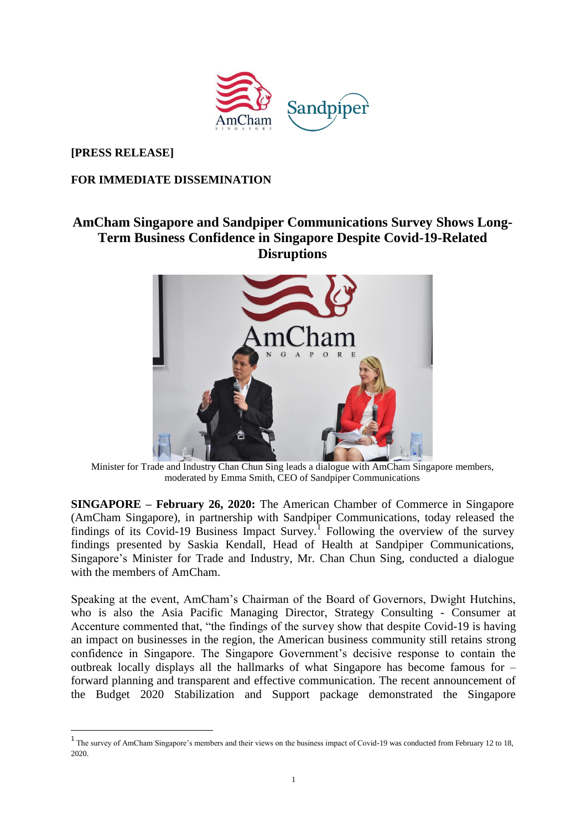

**[PRESS RELEASE]**

 $\overline{a}$ 

## **FOR IMMEDIATE DISSEMINATION**

# **AmCham Singapore and Sandpiper Communications Survey Shows Long-Term Business Confidence in Singapore Despite Covid-19-Related Disruptions**



Minister for Trade and Industry Chan Chun Sing leads a dialogue with AmCham Singapore members, moderated by Emma Smith, CEO of Sandpiper Communications

**SINGAPORE – February 26, 2020:** The American Chamber of Commerce in Singapore (AmCham Singapore), in partnership with Sandpiper Communications, today released the findings of its Covid-19 Business Impact Survey.<sup>1</sup> Following the overview of the survey findings presented by Saskia Kendall, Head of Health at Sandpiper Communications, Singapore's Minister for Trade and Industry, Mr. Chan Chun Sing, conducted a dialogue with the members of AmCham.

Speaking at the event, AmCham's Chairman of the Board of Governors, Dwight Hutchins, who is also the Asia Pacific Managing Director, Strategy Consulting - Consumer at Accenture commented that, "the findings of the survey show that despite Covid-19 is having an impact on businesses in the region, the American business community still retains strong confidence in Singapore. The Singapore Government's decisive response to contain the outbreak locally displays all the hallmarks of what Singapore has become famous for – forward planning and transparent and effective communication. The recent announcement of the Budget 2020 Stabilization and Support package demonstrated the Singapore

 $1$  The survey of AmCham Singapore's members and their views on the business impact of Covid-19 was conducted from February 12 to 18, 2020.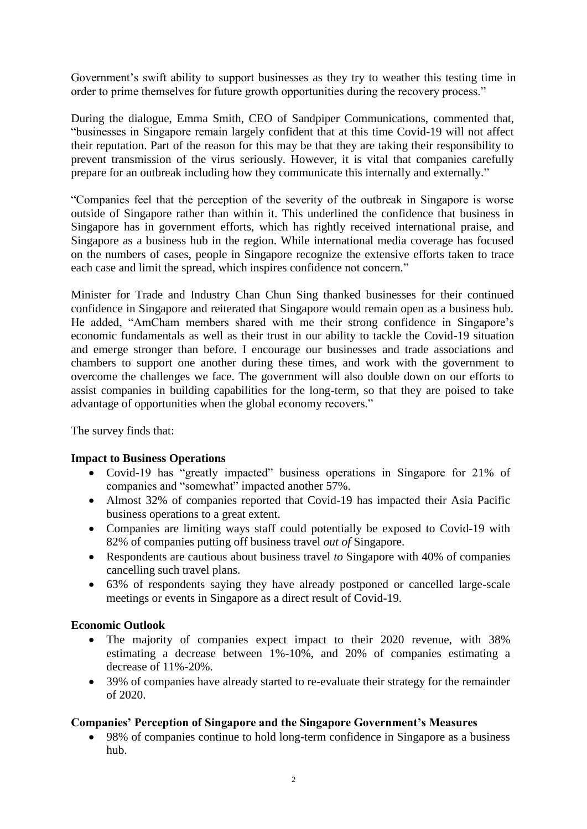Government's swift ability to support businesses as they try to weather this testing time in order to prime themselves for future growth opportunities during the recovery process."

During the dialogue, Emma Smith, CEO of Sandpiper Communications, commented that, "businesses in Singapore remain largely confident that at this time Covid-19 will not affect their reputation. Part of the reason for this may be that they are taking their responsibility to prevent transmission of the virus seriously. However, it is vital that companies carefully prepare for an outbreak including how they communicate this internally and externally."

"Companies feel that the perception of the severity of the outbreak in Singapore is worse outside of Singapore rather than within it. This underlined the confidence that business in Singapore has in government efforts, which has rightly received international praise, and Singapore as a business hub in the region. While international media coverage has focused on the numbers of cases, people in Singapore recognize the extensive efforts taken to trace each case and limit the spread, which inspires confidence not concern."

Minister for Trade and Industry Chan Chun Sing thanked businesses for their continued confidence in Singapore and reiterated that Singapore would remain open as a business hub. He added, "AmCham members shared with me their strong confidence in Singapore's economic fundamentals as well as their trust in our ability to tackle the Covid-19 situation and emerge stronger than before. I encourage our businesses and trade associations and chambers to support one another during these times, and work with the government to overcome the challenges we face. The government will also double down on our efforts to assist companies in building capabilities for the long-term, so that they are poised to take advantage of opportunities when the global economy recovers."

The survey finds that:

# **Impact to Business Operations**

- Covid-19 has "greatly impacted" business operations in Singapore for 21% of companies and "somewhat" impacted another 57%.
- Almost 32% of companies reported that Covid-19 has impacted their Asia Pacific business operations to a great extent.
- Companies are limiting ways staff could potentially be exposed to Covid-19 with 82% of companies putting off business travel *out of* Singapore.
- Respondents are cautious about business travel *to* Singapore with 40% of companies cancelling such travel plans.
- 63% of respondents saying they have already postponed or cancelled large-scale meetings or events in Singapore as a direct result of Covid-19.

#### **Economic Outlook**

- The majority of companies expect impact to their 2020 revenue, with 38% estimating a decrease between 1%-10%, and 20% of companies estimating a decrease of 11%-20%.
- 39% of companies have already started to re-evaluate their strategy for the remainder of 2020.

# **Companies' Perception of Singapore and the Singapore Government's Measures**

 98% of companies continue to hold long-term confidence in Singapore as a business hub.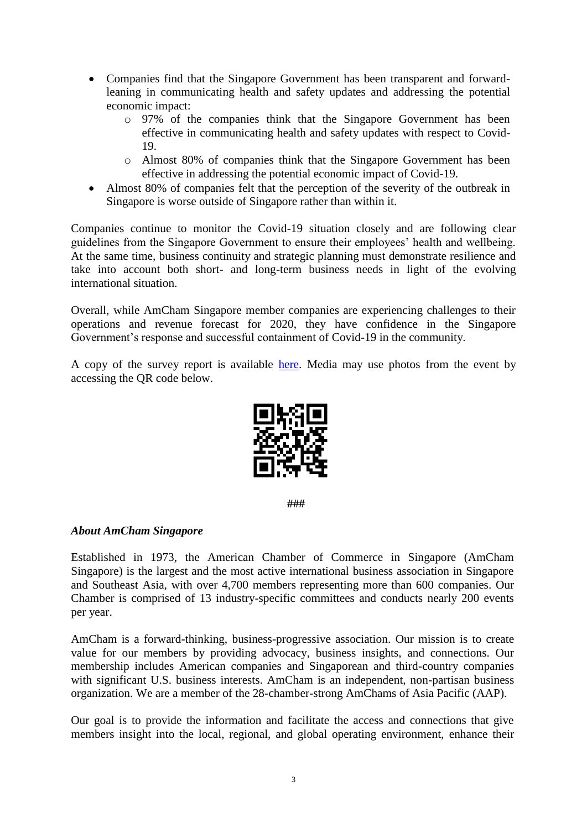- Companies find that the Singapore Government has been transparent and forwardleaning in communicating health and safety updates and addressing the potential economic impact:
	- o 97% of the companies think that the Singapore Government has been effective in communicating health and safety updates with respect to Covid-19.
	- o Almost 80% of companies think that the Singapore Government has been effective in addressing the potential economic impact of Covid-19.
- Almost 80% of companies felt that the perception of the severity of the outbreak in Singapore is worse outside of Singapore rather than within it.

Companies continue to monitor the Covid-19 situation closely and are following clear guidelines from the Singapore Government to ensure their employees' health and wellbeing. At the same time, business continuity and strategic planning must demonstrate resilience and take into account both short- and long-term business needs in light of the evolving international situation.

Overall, while AmCham Singapore member companies are experiencing challenges to their operations and revenue forecast for 2020, they have confidence in the Singapore Government's response and successful containment of Covid-19 in the community.

A copy of the survey report is available [here.](https://amcham.com.sg/amcham-publications/) Media may use photos from the event by accessing the QR code below.



**###**

#### *About AmCham Singapore*

Established in 1973, the American Chamber of Commerce in Singapore (AmCham Singapore) is the largest and the most active international business association in Singapore and Southeast Asia, with over 4,700 members representing more than 600 companies. Our Chamber is comprised of 13 industry-specific committees and conducts nearly 200 events per year.

AmCham is a forward-thinking, business-progressive association. Our mission is to create value for our members by providing advocacy, business insights, and connections. Our membership includes American companies and Singaporean and third-country companies with significant U.S. business interests. AmCham is an independent, non-partisan business organization. We are a member of the 28-chamber-strong AmChams of Asia Pacific (AAP).

Our goal is to provide the information and facilitate the access and connections that give members insight into the local, regional, and global operating environment, enhance their